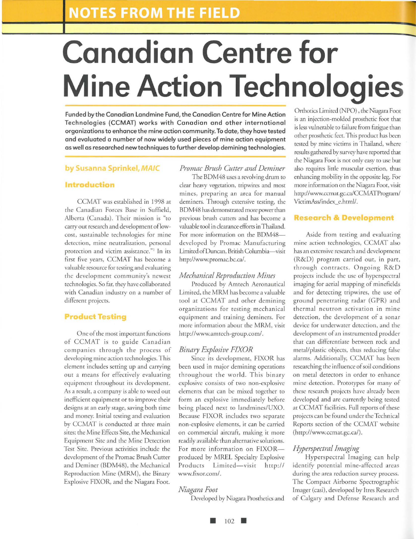# **Canadian Centre for Mine Action Technologies**

Funded by the Canadian Landmine Fund, the Canadian Centre for Mine Action Technologies (CCMAT) works with Canadian and other international organizations to enhance the mine action community. To date, they have tested and evaluated a number of now widely used pieces of mine action equipment as well as researched new techniques to further develop demining technologies.

# **by Susanna Sprinkel, MAIC**

# **Introduction**

CCMAT was established in 1998 at the Canadian Forces Base in Suffield, Alberta (Canada). Their mission is "ro carry out research and development of lowcosr, sustainable technologies for mine detection, mine neutralization, personal protection and victim assistance."1 In irs first five years, CCMAT has become a valuable resource for testing and evaluating the development community's newest technologies. So far, rhey have collaborated with Canadian industry on a number of different projects.

#### **Product Testing**

One of the most imporranr functions of CCMAT is to guide Canadian companies through the process of developing mine action technologies. This elemenr includes serring up and carrying out a means for effectively evaluating equipment throughout irs development. As a result, a company is able to weed out inefficient equipment or to improve their designs at an early stage, saving both rime and money. Initial testing and evaluation by CCMAT is conducted at three main sires: the Mine Effects Site, the Mechanical Equipment Sire and the Mine Detection Test Site. Previous activities include the development of the Promac Brush Cutter and Deminer (BDM48), the Mechanical Reproduction Mine (MRM), the Binary Explosive FIXOR, and the Niagara Fooc.

# *Promac Brush Cutter and Deminer*  The BDM48 uses a revolving drum to clear heavy vegetation, tripwires and most

mines, preparing an area for manual deminers. Through extensive testing, the BDM48 has demonstrated more power than previous brush currers and has become a valuable tool in clearance efforts in Thailand. For more information on the BDM48developed by Promac Manufacturing Limited of Duncan, British Columbia-visit http://www.promac.bc.ca/.

# *Mechanical Reproduction Mines*

Produced by Amrech Aeronautical Limited, the MRM has become a valuable tool at CCMAT and other demining organizations for testing mechanical equipment and training deminers. For more information about rhe MRM, visit http://www.amtech-group.com/.

# *Binary Explosive FJXOR*

Since its development, FIXOR has been used in major demining operations throughout the world. This binary explosive consists of two non-explosive elements that can be mixed together to form an explosive immediately before being placed next to landmines/UXO. Because FIXOR includes two separate non-explosive elements, ir can be carried on commercial aircraft, making it more readily available than alternative solutions. For more information on FIXORproduced by MREL Specialty Explosive Products Limited-visit http:// www.fixor.com/.

#### *Niagara Foot*

Developed by Niagara Prosthetics and

Orthotics Limited (NPO) , the Niagara Foot is an injection-molded prosthetic foot rhar is less vulnerable to failure from fatigue than other prosthetic feet. This product has been resred by mine victims in Thailand, where results gathered by survey have reported that the Niagara Foot is nor only easy to use bur also requires little muscular exertion, thus enhancing mobility in the opposite leg. For more information on the Niagara Foot, visit http://www.ccmat.gc.ca/CCMATPrograrn/ VictimAss/index\_e.html/.

#### **esearch & Development**

Aside from testing and evaluating mine action technologies, CCMAT also has an extensive research and development (R&D) program carried our, in part, through contracts. Ongoing R&D projects include rhe use of hyperspectral imaging for aerial mapping of mineflelds and for detecting tripwires, the use of ground penetrating radar (GPR) and thermal neutron activation in mine detection, the development of a sonar device for underwater detection, and the development of an instrumented prodder that can differentiate between rock and metal/plastic objects, rhus reducing false alarms. Additionally, CCMAT has been researching the influence of soil conditions on metal detectors in order to enhance mine detection. Prototypes for many of these research projects have already been developed and are currendy being rested at CCMAT facilities. Full reports of these projects can be found under the Technical Reports section of rhe CCMAT website (http://www.ccmar.gc.ca/).

#### *Hyperspectral Imaging*

Hyperspectral Imaging can help identify potential mine-affected areas during the area reduction survey process. The Compact Airborne Spectrographic Imager (casi), developed by ltres Research of Calgary and Defense Research and